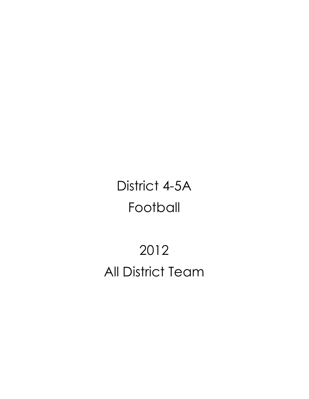# District 4-5A Football

# 2012 All District Team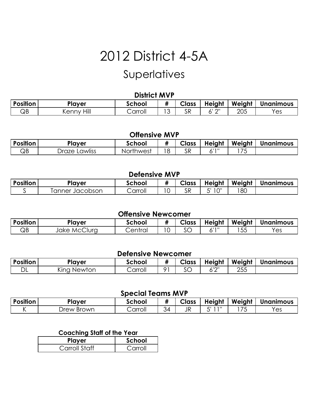### **Superlatives**

#### **District MVP**

| <b>Position</b> | <sup>o</sup> layer      | <b>School</b> | " | Class | Height         | Weight | <b>Unanimous</b> |
|-----------------|-------------------------|---------------|---|-------|----------------|--------|------------------|
| QВ              | Hill<br>`ennv∶<br>NULL. | Carroll       | ັ | SR    | $\bigcap$<br>- | 205    | Yes              |

#### **Offensive MVP**

| <b>Position</b> | Player           | School    |   | Class | Height | Weight                        | - -<br><b>Unanimous</b> |
|-----------------|------------------|-----------|---|-------|--------|-------------------------------|-------------------------|
| QΒ              | Draze<br>Lawliss | Northwest | ∼ | Уk    | ,,,,,  | $\overline{\phantom{a}}$<br>ີ |                         |

#### **Defensive MVP**

| Position | Player            | school  | Class | <b>Height</b> | Weight | Unanimous |
|----------|-------------------|---------|-------|---------------|--------|-----------|
|          | anner<br>Jacobson | Carroll | SR    | $\bigcap$     | 80     |           |

#### **Offensive Newcomer**

| <b>Position</b> | Player          | School | <br>π                    | Class | Height    | Weight          | <b>Unanimous</b> |
|-----------------|-----------------|--------|--------------------------|-------|-----------|-----------------|------------------|
| QВ              | MCClura<br>Jake | entral | $\overline{\phantom{0}}$ | SC    | , , , , , | $ -$<br>--<br>ぃ | Y≏c<br>دب        |

### **Defensive Newcomer**

| Position | Player         | School  | "   | Class                | Height | Weight | <b>Unanimous</b> |
|----------|----------------|---------|-----|----------------------|--------|--------|------------------|
| ◡        | Newton<br>King | Carroll | ∩ 1 | $\sim$ $\sim$<br>ے ں | 1011   | 255    |                  |

#### **Special Teams MVP**

|                 | .          |         |    |              |        |                          |                  |  |  |  |  |
|-----------------|------------|---------|----|--------------|--------|--------------------------|------------------|--|--|--|--|
| <b>Position</b> | Player     | School  |    | <b>Class</b> | Height | Weight                   | <b>Unanimous</b> |  |  |  |  |
|                 | )rew Brown | Carroll | 4ر | JR           | -111   | $\overline{\phantom{a}}$ | $v_{es}$         |  |  |  |  |

#### **Coaching Staff of the Year**

| Player        | School  |  |  |
|---------------|---------|--|--|
| Carroll Staff | Carroll |  |  |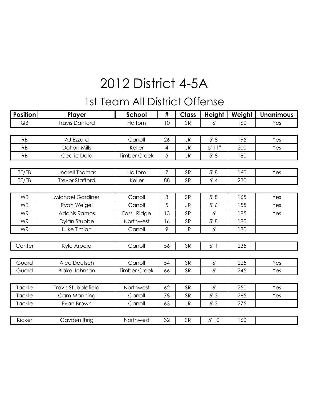### 1st Team All District Offense

| <b>Position</b> | Player                     | <b>School</b>       | #              | <b>Class</b> | <b>Height</b>  | Weight | <b>Unanimous</b> |
|-----------------|----------------------------|---------------------|----------------|--------------|----------------|--------|------------------|
| QB              | <b>Travis Danford</b>      | Haltom              | 10             | <b>SR</b>    | 6'             | 160    | Yes              |
|                 |                            |                     |                |              |                |        |                  |
| RB              | AJ Ezzard                  | Carroll             | 26             | <b>JR</b>    | 5' 8''         | 195    | Yes              |
| RB              | <b>Dalton Mills</b>        | Keller              | 4              | JR           | $5'$ $11"$     | 200    | Yes              |
| RB              | Cedric Dale                | <b>Timber Creek</b> | 5              | <b>JR</b>    | 5' 8''         | 180    |                  |
|                 |                            |                     |                |              |                |        |                  |
| TE/FB           | <b>Undrell Thomas</b>      | Haltom              | 7              | SR           | 5' 8''         | 160    | Yes              |
| TE/FB           | <b>Trevor Stafford</b>     | Keller              | 88             | <b>SR</b>    | 6' 4''         | 230    |                  |
|                 |                            |                     |                |              |                |        |                  |
| <b>WR</b>       | <b>Michael Gardiner</b>    | Carroll             | $\mathfrak{S}$ | <b>SR</b>    | 5' 8''         | 165    | Yes              |
| <b>WR</b>       | Ryan Weigel                | Carroll             | 5              | JR           | 5' 6''         | 155    | Yes              |
| <b>WR</b>       | <b>Adonis Ramos</b>        | Fossil Ridge        | 13             | <b>SR</b>    | 6'             | 185    | Yes              |
| <b>WR</b>       | Dylan Stubbe               | Northwest           | 16             | <b>SR</b>    | 5' 8''         | 180    |                  |
| <b>WR</b>       | Luke Timian                | Carroll             | 9              | <b>JR</b>    | 6 <sup>1</sup> | 180    |                  |
|                 |                            |                     |                |              |                |        |                  |
| Center          | Kyle Arpaia                | Carroll             | 56             | <b>SR</b>    | 6'1''          | 235    |                  |
|                 |                            |                     |                |              |                |        |                  |
| Guard           | <b>Alec Deutsch</b>        | Carroll             | 54             | SR           | 6'             | 225    | Yes              |
| Guard           | <b>Blake Johnson</b>       | <b>Timber Creek</b> | 66             | <b>SR</b>    | 6'             | 245    | Yes              |
|                 |                            |                     |                |              |                |        |                  |
| Tackle          | <b>Travis Stubblefield</b> | Northwest           | 62             | SR           | 6'             | 250    | Yes              |
| <b>Tackle</b>   | Cam Manning                | Carroll             | 78             | <b>SR</b>    | 6'3''          | 265    | Yes              |
| Tackle          | Evan Brown                 | Carroll             | 63             | <b>JR</b>    | 6'3''          | 275    |                  |
|                 |                            |                     |                |              |                |        |                  |
| Kicker          | Cayden Ihrig               | Northwest           | 32             | SR           | 5' 10'         | 160    |                  |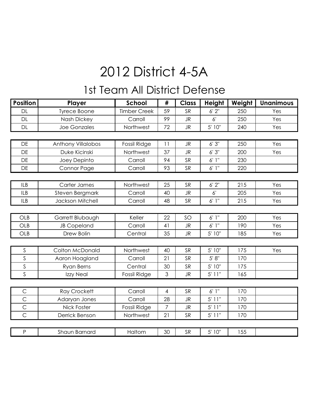### 1st Team All District Defense

| <b>Position</b> | Player                 | <b>School</b>       | #              | <b>Class</b> | <b>Height</b> | Weight | <b>Unanimous</b> |
|-----------------|------------------------|---------------------|----------------|--------------|---------------|--------|------------------|
| DL              | <b>Tyrece Boone</b>    | <b>Timber Creek</b> | 59             | <b>SR</b>    | 6'2''         | 250    | Yes              |
| DL              | <b>Nash Dickey</b>     | Carroll             | 99             | <b>JR</b>    | 6'            | 250    | Yes              |
| DL              | <b>Joe Gonzales</b>    | Northwest           | 72             | <b>JR</b>    | 5' 10"        | 240    | Yes              |
|                 |                        |                     |                |              |               |        |                  |
| DE              | Anthony Villalobos     | Fossil Ridge        | 11             | <b>JR</b>    | 6'3''         | 250    | Yes              |
| DE              | Duke Kicinski          | Northwest           | 37             | <b>JR</b>    | 6'3''         | 200    | Yes              |
| <b>DE</b>       | Joey Depinto           | Carroll             | 94             | SR           | 6'1''         | 230    |                  |
| DE              | Connor Page            | Carroll             | 93             | <b>SR</b>    | 6'1''         | 220    |                  |
|                 |                        |                     |                |              |               |        |                  |
| <b>ILB</b>      | Carter James           | Northwest           | 25             | SR           | 6'2''         | 215    | Yes              |
| <b>ILB</b>      | <b>Steven Bergmark</b> | Carroll             | 40             | <b>JR</b>    | 6'            | 205    | Yes              |
| <b>ILB</b>      | Jackson Mitchell       | Carroll             | 48             | SR           | 6'1''         | 215    | Yes              |
|                 |                        |                     |                |              |               |        |                  |
| <b>OLB</b>      | Garrett Blubaugh       | Keller              | 22             | SO           | 6'1''         | 200    | Yes              |
| OLB             | <b>JB Copeland</b>     | Carroll             | 41             | <b>JR</b>    | 6'1''         | 190    | Yes              |
| OLB             | Drew Bolin             | Central             | 35             | <b>JR</b>    | 5' 10"        | 185    | Yes              |
|                 |                        |                     |                |              |               |        |                  |
| $\mathsf S$     | Colton McDonald        | Northwest           | 40             | SR           | 5' 10"        | 175    | Yes              |
| $\mathsf S$     | Aaron Hoagland         | Carroll             | 21             | SR           | 5' 8''        | 170    |                  |
| $\mathsf S$     | <b>Ryan Berns</b>      | Central             | 30             | <b>SR</b>    | 5' 10"        | 175    |                  |
| $\mathsf S$     | Izzy Neal              | Fossil Ridge        | $\mathfrak{S}$ | JR           | $5'$ 11"      | 165    |                  |
|                 |                        |                     |                |              |               |        |                  |
| $\mathsf C$     | <b>Ray Crockett</b>    | Carroll             | $\overline{4}$ | SR           | 6'1''         | 170    |                  |
| $\mathsf{C}$    | Adaryan Jones          | Carroll             | 28             | <b>JR</b>    | 5'11"         | 170    |                  |
| $\mathsf{C}$    | Nick Foster            | Fossil Ridge        | $\overline{7}$ | <b>JR</b>    | $5'$ 11"      | 170    |                  |
| $\overline{C}$  | Derrick Benson         | Northwest           | 21             | SR           | $5'$ 11"      | 170    |                  |
|                 |                        |                     |                |              |               |        |                  |
| $\mathsf{P}$    | Shaun Barnard          | Haltom              | 30             | SR           | 5' 10"        | 155    |                  |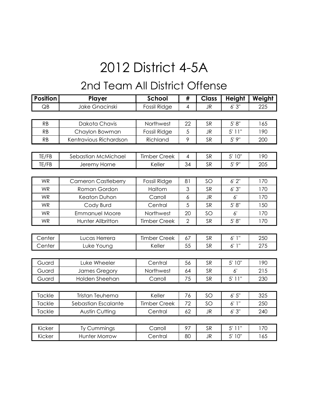### 2nd Team All District Offense

| <b>Position</b> | Player                     | <b>School</b>       | #              | <b>Class</b> | <b>Height</b> | Weight |
|-----------------|----------------------------|---------------------|----------------|--------------|---------------|--------|
| QB              | Jake Gnacinski             | Fossil Ridge        | $\overline{4}$ | <b>JR</b>    | 6'3''         | 225    |
|                 |                            |                     |                |              |               |        |
| <b>RB</b>       | Dakota Chavis              | Northwest           | 22             | <b>SR</b>    | 5' 8''        | 165    |
| <b>RB</b>       | Chaylon Bowman             | Fossil Ridge        | 5              | <b>JR</b>    | $5'$ 11"      | 190    |
| <b>RB</b>       | Kentravious Richardson     | Richland            | 9              | <b>SR</b>    | 5'9''         | 200    |
|                 |                            |                     |                |              |               |        |
| TE/FB           | Sebastian McMichael        | <b>Timber Creek</b> | $\overline{4}$ | <b>SR</b>    | 5' 10"        | 190    |
| TE/FB           | Jeremy Horne               | Keller              | 34             | <b>SR</b>    | 5'9''         | 205    |
|                 |                            |                     |                |              |               |        |
| <b>WR</b>       | <b>Cameron Castleberry</b> | Fossil Ridge        | 81             | SO           | 6'2''         | 170    |
| <b>WR</b>       | Roman Gordon               | Haltom              | 3              | <b>SR</b>    | 6'3''         | 170    |
| <b>WR</b>       | <b>Keaton Duhon</b>        | Carroll             | 6              | <b>JR</b>    | 6'            | 170    |
| <b>WR</b>       | Cody Burd                  | Central             | 5              | <b>SR</b>    | 5' 8''        | 150    |
| <b>WR</b>       | <b>Emmanuel Moore</b>      | Northwest           | 20             | SO           | 6'            | 170    |
| <b>WR</b>       | Hunter Allbritton          | <b>Timber Creek</b> | $\overline{2}$ | <b>SR</b>    | 5' 8''        | 170    |
|                 |                            |                     |                |              |               |        |
| Center          | Lucas Herrera              | <b>Timber Creek</b> | 67             | <b>SR</b>    | 6'1''         | 250    |
| Center          | Luke Young                 | Keller              | 55             | <b>SR</b>    | 6'1''         | 275    |
|                 |                            |                     |                |              |               |        |
| Guard           | Luke Wheeler               | Central             | 56             | <b>SR</b>    | 5' 10"        | 190    |
| Guard           | James Gregory              | Northwest           | 64             | <b>SR</b>    | $6^{\prime}$  | 215    |
| Guard           | Holden Sheehan             | Carroll             | 75             | <b>SR</b>    | $5'$ 11"      | 230    |
|                 |                            |                     |                |              |               |        |
| Tackle          | Tristan Teuhema            | Keller              | 76             | SO           | 6'5''         | 325    |
| Tackle          | Sebastian Escalante        | <b>Timber Creek</b> | 72             | SO           | 6'1''         | 250    |
| Tackle          | <b>Austin Cutting</b>      | Central             | 62             | <b>JR</b>    | 6'3''         | 240    |
|                 |                            |                     |                |              |               |        |
| Kicker          | Ty Cummings                | Carroll             | 97             | <b>SR</b>    | $5'$ 11"      | 170    |
| Kicker          | <b>Hunter Morrow</b>       | Central             | 80             | <b>JR</b>    | 5' 10"        | 165    |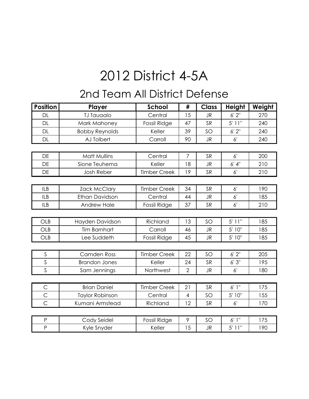### 2nd Team All District Defense

| <b>Position</b> | Player                 | <b>School</b>       | #              | <b>Class</b> | <b>Height</b> | Weight |
|-----------------|------------------------|---------------------|----------------|--------------|---------------|--------|
| <b>DL</b>       | <b>TJ Tauaalo</b>      | Central             | 15             | <b>JR</b>    | 6'2''         | 270    |
| DL              | Mark Mahoney           | <b>Fossil Ridge</b> | 47             | <b>SR</b>    | $5'$ 11"      | 240    |
| <b>DL</b>       | <b>Bobby Reynolds</b>  | Keller              | 39             | SO           | $6'$ $2"$     | 240    |
| <b>DL</b>       | AJ Tolbert             | Carroll             | 90             | <b>JR</b>    | 6'            | 240    |
|                 |                        |                     |                |              |               |        |
| DE              | <b>Matt Mullins</b>    | Central             | $\overline{7}$ | <b>SR</b>    | 6'            | 200    |
| DE              | Sione Teuhema          | Keller              | 18             | <b>JR</b>    | 6' 4''        | 210    |
| <b>DE</b>       | <b>Josh Reber</b>      | <b>Timber Creek</b> | 19             | <b>SR</b>    | 6'            | 210    |
|                 |                        |                     |                |              |               |        |
| <b>ILB</b>      | <b>Zack McClary</b>    | <b>Timber Creek</b> | 34             | <b>SR</b>    | 6'            | 190    |
| <b>ILB</b>      | <b>Ethan Davidson</b>  | Central             | 44             | JR           | 6'            | 185    |
| <b>ILB</b>      | <b>Andrew Hale</b>     | Fossil Ridge        | 37             | SR           | 6'            | 210    |
|                 |                        |                     |                |              |               |        |
| OLB             | Hayden Davidson        | Richland            | 13             | SO           | $5'$ 11"      | 185    |
| OLB             | <b>Tim Barnhart</b>    | Carroll             | 46             | <b>JR</b>    | 5' 10"        | 185    |
| OLB             | Lee Suddeth            | Fossil Ridge        | 45             | <b>JR</b>    | 5' 10"        | 185    |
|                 |                        |                     |                |              |               |        |
| S               | <b>Camden Ross</b>     | <b>Timber Creek</b> | 22             | SO           | 6'2''         | 205    |
| $\mathsf S$     | <b>Brandon Jones</b>   | Keller              | 24             | <b>SR</b>    | 6'3''         | 195    |
| Ś               | Sam Jennings           | Northwest           | $\overline{2}$ | JR           | 6'            | 180    |
|                 |                        |                     |                |              |               |        |
| $\mathsf C$     | <b>Brian Daniel</b>    | <b>Timber Creek</b> | 21             | <b>SR</b>    | 6'1''         | 175    |
| $\overline{C}$  | <b>Taylor Robinson</b> | Central             | $\overline{4}$ | SO           | 5' 10"        | 155    |
| $\overline{C}$  | Kumani Armstead        | Richland            | 12             | SR           | $6^{\prime}$  | 170    |
|                 |                        |                     |                |              |               |        |
| $\mathsf{P}$    | Cody Seidel            | <b>Fossil Ridge</b> | 9              | SO           | 6'1''         | 175    |
| $\overline{P}$  | Kyle Snyder            | Keller              | 15             | <b>JR</b>    | $5'$ 11"      | 190    |